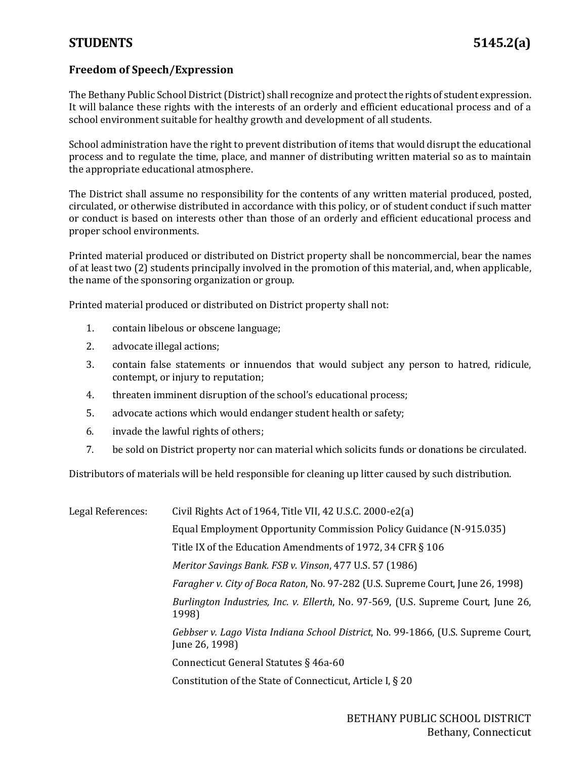## **STUDENTS 5145.2(a)**

## **Freedom of Speech/Expression**

The Bethany Public School District(District) shall recognize and protect the rights of student expression. It will balance these rights with the interests of an orderly and efficient educational process and of a school environment suitable for healthy growth and development of all students.

School administration have the right to prevent distribution of items that would disrupt the educational process and to regulate the time, place, and manner of distributing written material so as to maintain the appropriate educational atmosphere.

The District shall assume no responsibility for the contents of any written material produced, posted, circulated, or otherwise distributed in accordance with this policy, or of student conduct if such matter or conduct is based on interests other than those of an orderly and efficient educational process and proper school environments.

Printed material produced or distributed on District property shall be noncommercial, bear the names of at least two (2) students principally involved in the promotion of this material, and, when applicable, the name of the sponsoring organization or group.

Printed material produced or distributed on District property shall not:

- 1. contain libelous or obscene language;
- 2. advocate illegal actions;
- 3. contain false statements or innuendos that would subject any person to hatred, ridicule, contempt, or injury to reputation;
- 4. threaten imminent disruption of the school's educational process;
- 5. advocate actions which would endanger student health or safety;
- 6. invade the lawful rights of others;
- 7. be sold on District property nor can material which solicits funds or donations be circulated.

Distributors of materials will be held responsible for cleaning up litter caused by such distribution.

| Legal References: | Civil Rights Act of 1964, Title VII, 42 U.S.C. 2000-e2(a)                                          |
|-------------------|----------------------------------------------------------------------------------------------------|
|                   | Equal Employment Opportunity Commission Policy Guidance (N-915.035)                                |
|                   | Title IX of the Education Amendments of 1972, 34 CFR § 106                                         |
|                   | Meritor Savings Bank. FSB v. Vinson, 477 U.S. 57 (1986)                                            |
|                   | <i>Faragher v. City of Boca Raton, No.</i> 97-282 (U.S. Supreme Court, June 26, 1998)              |
|                   | Burlington Industries, Inc. v. Ellerth, No. 97-569, (U.S. Supreme Court, June 26,<br>1998)         |
|                   | Gebbser v. Lago Vista Indiana School District, No. 99-1866, (U.S. Supreme Court,<br>June 26, 1998) |
|                   | Connecticut General Statutes § 46a-60                                                              |
|                   | Constitution of the State of Connecticut, Article I, § 20                                          |